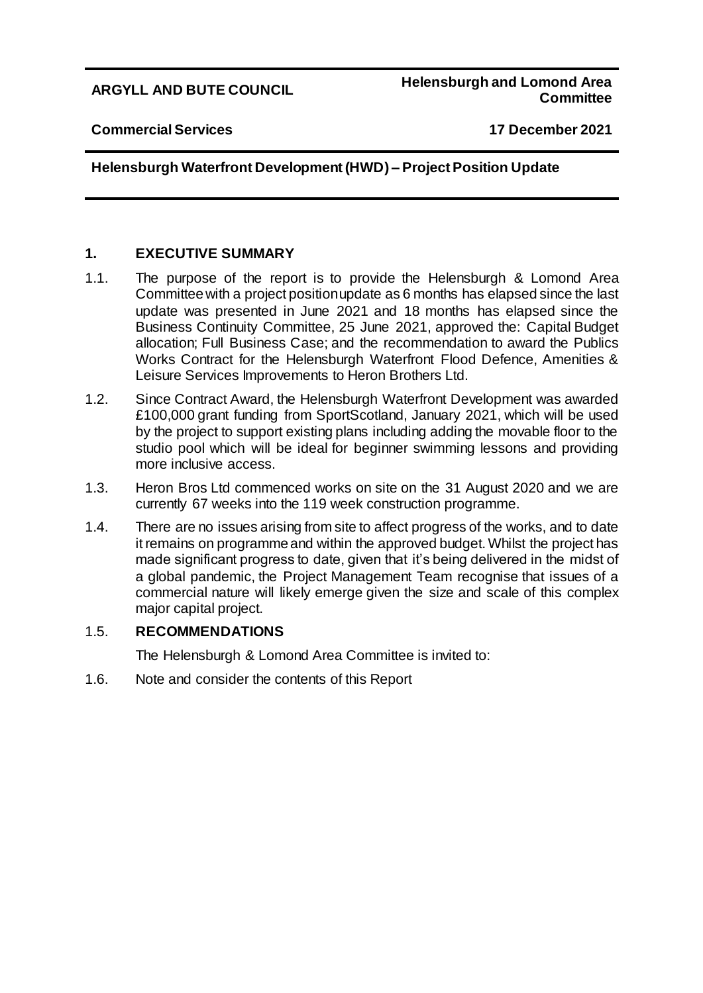### **ARGYLL AND BUTE COUNCIL Helensburgh and Lomond Area Committee**

#### **Commercial Services 17 December 2021**

# **Helensburgh Waterfront Development (HWD) – Project Position Update**

# **1. EXECUTIVE SUMMARY**

- 1.1. The purpose of the report is to provide the Helensburgh & Lomond Area Committee with a project position update as 6 months has elapsed since the last update was presented in June 2021 and 18 months has elapsed since the Business Continuity Committee, 25 June 2021, approved the: Capital Budget allocation; Full Business Case; and the recommendation to award the Publics Works Contract for the Helensburgh Waterfront Flood Defence, Amenities & Leisure Services Improvements to Heron Brothers Ltd.
- 1.2. Since Contract Award, the Helensburgh Waterfront Development was awarded £100,000 grant funding from SportScotland, January 2021, which will be used by the project to support existing plans including adding the movable floor to the studio pool which will be ideal for beginner swimming lessons and providing more inclusive access.
- 1.3. Heron Bros Ltd commenced works on site on the 31 August 2020 and we are currently 67 weeks into the 119 week construction programme.
- 1.4. There are no issues arising from site to affect progress of the works, and to date it remains on programme and within the approved budget. Whilst the project has made significant progress to date, given that it's being delivered in the midst of a global pandemic, the Project Management Team recognise that issues of a commercial nature will likely emerge given the size and scale of this complex major capital project.

### 1.5. **RECOMMENDATIONS**

The Helensburgh & Lomond Area Committee is invited to:

1.6. Note and consider the contents of this Report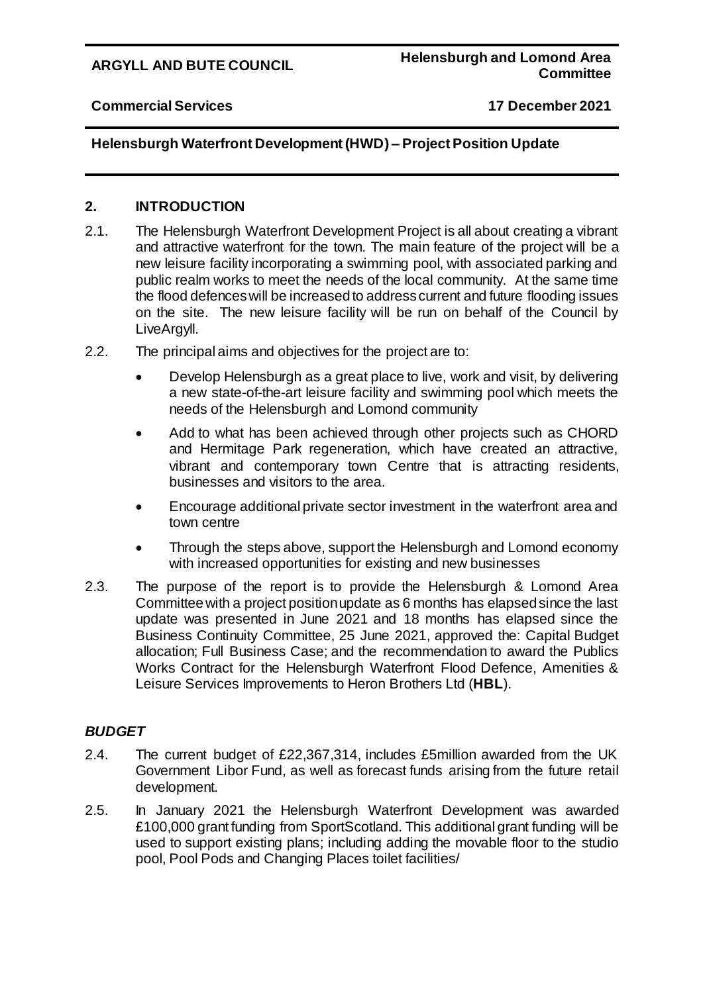### **Commercial Services 17 December 2021**

# **Helensburgh Waterfront Development (HWD) – Project Position Update**

### **2. INTRODUCTION**

- 2.1. The Helensburgh Waterfront Development Project is all about creating a vibrant and attractive waterfront for the town. The main feature of the project will be a new leisure facility incorporating a swimming pool, with associated parking and public realm works to meet the needs of the local community. At the same time the flood defences will be increased to address current and future flooding issues on the site. The new leisure facility will be run on behalf of the Council by LiveArgyll.
- 2.2. The principal aims and objectives for the project are to:
	- Develop Helensburgh as a great place to live, work and visit, by delivering a new state-of-the-art leisure facility and swimming pool which meets the needs of the Helensburgh and Lomond community
	- Add to what has been achieved through other projects such as CHORD and Hermitage Park regeneration, which have created an attractive, vibrant and contemporary town Centre that is attracting residents, businesses and visitors to the area.
	- Encourage additional private sector investment in the waterfront area and town centre
	- Through the steps above, support the Helensburgh and Lomond economy with increased opportunities for existing and new businesses
- 2.3. The purpose of the report is to provide the Helensburgh & Lomond Area Committee with a project position update as 6 months has elapsed since the last update was presented in June 2021 and 18 months has elapsed since the Business Continuity Committee, 25 June 2021, approved the: Capital Budget allocation; Full Business Case; and the recommendation to award the Publics Works Contract for the Helensburgh Waterfront Flood Defence, Amenities & Leisure Services Improvements to Heron Brothers Ltd (**HBL**).

# *BUDGET*

- 2.4. The current budget of £22,367,314, includes £5million awarded from the UK Government Libor Fund, as well as forecast funds arising from the future retail development.
- 2.5. In January 2021 the Helensburgh Waterfront Development was awarded £100,000 grant funding from SportScotland. This additional grant funding will be used to support existing plans; including adding the movable floor to the studio pool, Pool Pods and Changing Places toilet facilities/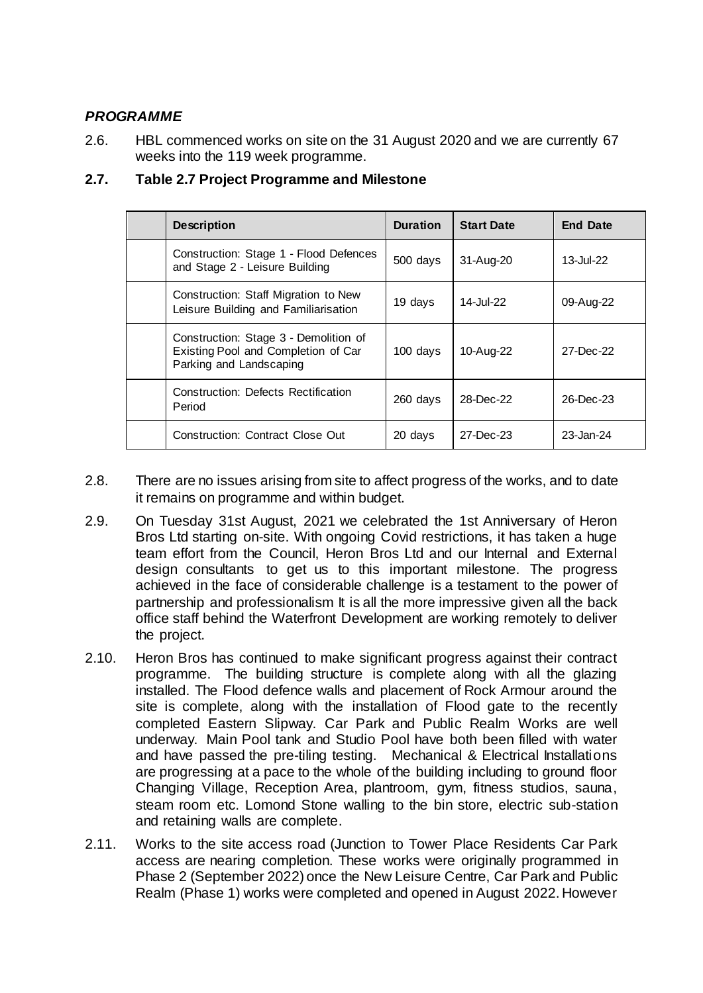# *PROGRAMME*

2.6. HBL commenced works on site on the 31 August 2020 and we are currently 67 weeks into the 119 week programme.

| <b>Description</b>                                                                                      | <b>Duration</b> | <b>Start Date</b> | <b>End Date</b> |
|---------------------------------------------------------------------------------------------------------|-----------------|-------------------|-----------------|
| Construction: Stage 1 - Flood Defences<br>and Stage 2 - Leisure Building                                | 500 days        | 31-Aug-20         | 13-Jul-22       |
| Construction: Staff Migration to New<br>Leisure Building and Familiarisation                            | 19 days         | 14-Jul-22         | 09-Aug-22       |
| Construction: Stage 3 - Demolition of<br>Existing Pool and Completion of Car<br>Parking and Landscaping | 100 days        | 10-Aug-22         | 27-Dec-22       |
| Construction: Defects Rectification<br>Period                                                           | 260 days        | 28-Dec-22         | 26-Dec-23       |
| <b>Construction: Contract Close Out</b>                                                                 | 20 days         | 27-Dec-23         | 23-Jan-24       |

# **2.7. Table 2.7 Project Programme and Milestone**

- 2.8. There are no issues arising from site to affect progress of the works, and to date it remains on programme and within budget.
- 2.9. On Tuesday 31st August, 2021 we celebrated the 1st Anniversary of Heron Bros Ltd starting on-site. With ongoing Covid restrictions, it has taken a huge team effort from the Council, Heron Bros Ltd and our Internal and External design consultants to get us to this important milestone. The progress achieved in the face of considerable challenge is a testament to the power of partnership and professionalism It is all the more impressive given all the back office staff behind the Waterfront Development are working remotely to deliver the project.
- 2.10. Heron Bros has continued to make significant progress against their contract programme. The building structure is complete along with all the glazing installed. The Flood defence walls and placement of Rock Armour around the site is complete, along with the installation of Flood gate to the recently completed Eastern Slipway. Car Park and Public Realm Works are well underway. Main Pool tank and Studio Pool have both been filled with water and have passed the pre-tiling testing. Mechanical & Electrical Installations are progressing at a pace to the whole of the building including to ground floor Changing Village, Reception Area, plantroom, gym, fitness studios, sauna, steam room etc. Lomond Stone walling to the bin store, electric sub-station and retaining walls are complete.
- 2.11. Works to the site access road (Junction to Tower Place Residents Car Park access are nearing completion. These works were originally programmed in Phase 2 (September 2022) once the New Leisure Centre, Car Park and Public Realm (Phase 1) works were completed and opened in August 2022. However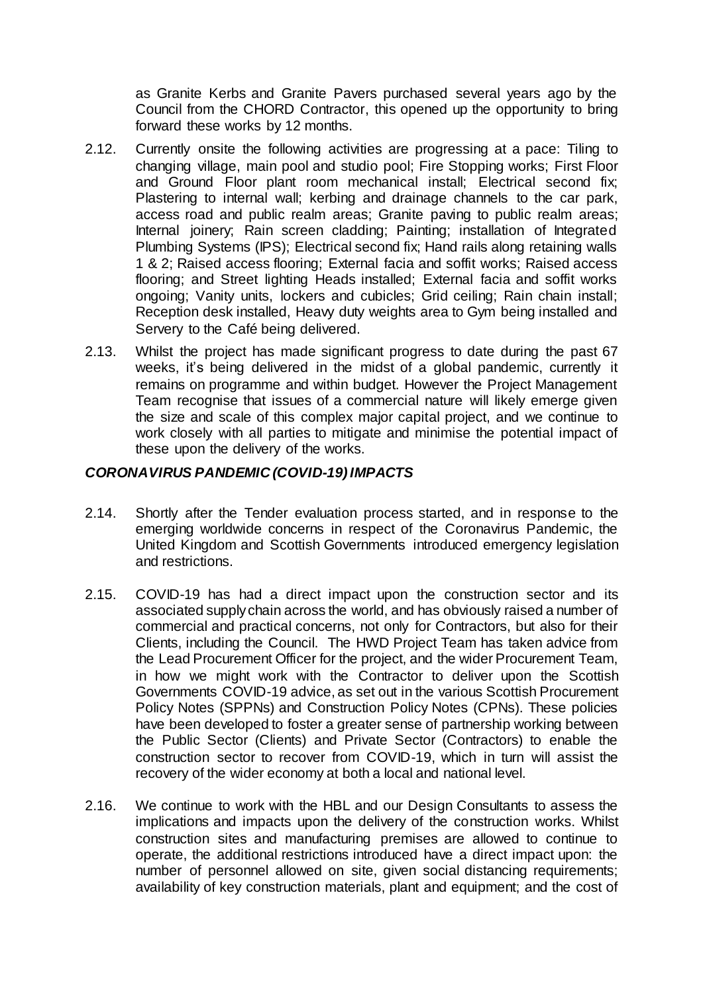as Granite Kerbs and Granite Pavers purchased several years ago by the Council from the CHORD Contractor, this opened up the opportunity to bring forward these works by 12 months.

- 2.12. Currently onsite the following activities are progressing at a pace: Tiling to changing village, main pool and studio pool; Fire Stopping works; First Floor and Ground Floor plant room mechanical install; Electrical second fix; Plastering to internal wall; kerbing and drainage channels to the car park, access road and public realm areas; Granite paving to public realm areas; Internal joinery; Rain screen cladding; Painting; installation of Integrated Plumbing Systems (IPS); Electrical second fix; Hand rails along retaining walls 1 & 2; Raised access flooring; External facia and soffit works; Raised access flooring; and Street lighting Heads installed; External facia and soffit works ongoing; Vanity units, lockers and cubicles; Grid ceiling; Rain chain install; Reception desk installed, Heavy duty weights area to Gym being installed and Servery to the Café being delivered.
- 2.13. Whilst the project has made significant progress to date during the past 67 weeks, it's being delivered in the midst of a global pandemic, currently it remains on programme and within budget. However the Project Management Team recognise that issues of a commercial nature will likely emerge given the size and scale of this complex major capital project, and we continue to work closely with all parties to mitigate and minimise the potential impact of these upon the delivery of the works.

# *CORONAVIRUS PANDEMIC (COVID-19) IMPACTS*

- 2.14. Shortly after the Tender evaluation process started, and in response to the emerging worldwide concerns in respect of the Coronavirus Pandemic, the United Kingdom and Scottish Governments introduced emergency legislation and restrictions.
- 2.15. COVID-19 has had a direct impact upon the construction sector and its associated supply chain across the world, and has obviously raised a number of commercial and practical concerns, not only for Contractors, but also for their Clients, including the Council. The HWD Project Team has taken advice from the Lead Procurement Officer for the project, and the wider Procurement Team, in how we might work with the Contractor to deliver upon the Scottish Governments COVID-19 advice, as set out in the various Scottish Procurement Policy Notes (SPPNs) and Construction Policy Notes (CPNs). These policies have been developed to foster a greater sense of partnership working between the Public Sector (Clients) and Private Sector (Contractors) to enable the construction sector to recover from COVID-19, which in turn will assist the recovery of the wider economy at both a local and national level.
- 2.16. We continue to work with the HBL and our Design Consultants to assess the implications and impacts upon the delivery of the construction works. Whilst construction sites and manufacturing premises are allowed to continue to operate, the additional restrictions introduced have a direct impact upon: the number of personnel allowed on site, given social distancing requirements; availability of key construction materials, plant and equipment; and the cost of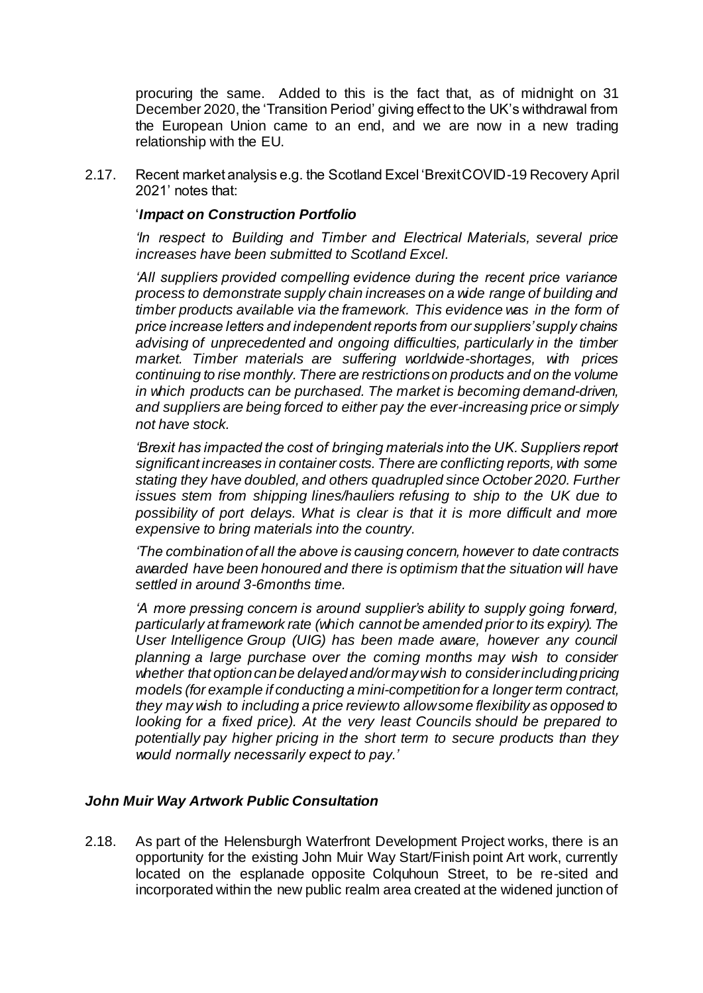procuring the same. Added to this is the fact that, as of midnight on 31 December 2020, the 'Transition Period' giving effect to the UK's withdrawal from the European Union came to an end, and we are now in a new trading relationship with the EU.

2.17. Recent market analysis e.g. the Scotland Excel 'Brexit COVID-19 Recovery April 2021' notes that:

#### '*Impact on Construction Portfolio*

*'In respect to Building and Timber and Electrical Materials, several price increases have been submitted to Scotland Excel.*

*'All suppliers provided compelling evidence during the recent price variance process to demonstrate supply chain increases on a wide range of building and timber products available via the framework. This evidence was in the form of price increase letters and independent reports from our suppliers' supply chains advising of unprecedented and ongoing difficulties, particularly in the timber market. Timber materials are suffering worldwide-shortages, with prices continuing to rise monthly. There are restrictions on products and on the volume in which products can be purchased. The market is becoming demand-driven, and suppliers are being forced to either pay the ever-increasing price or simply not have stock.*

*'Brexit has impacted the cost of bringing materials into the UK. Suppliers report significant increases in container costs. There are conflicting reports, with some stating they have doubled, and others quadrupled since October 2020. Further issues stem from shipping lines/hauliers refusing to ship to the UK due to possibility of port delays. What is clear is that it is more difficult and more expensive to bring materials into the country.*

*'The combination of all the above is causing concern, however to date contracts awarded have been honoured and there is optimism that the situation will have settled in around 3-6months time.*

*'A more pressing concern is around supplier's ability to supply going forward, particularly at framework rate (which cannot be amended prior to its expiry). The User Intelligence Group (UIG) has been made aware, however any council planning a large purchase over the coming months may wish to consider whether that option can be delayed and/or may wish to consider including pricing models (for example if conducting a mini-competition for a longer term contract, they may wish to including a price review to allow some flexibility as opposed to looking for a fixed price). At the very least Councils should be prepared to potentially pay higher pricing in the short term to secure products than they would normally necessarily expect to pay.'*

### *John Muir Way Artwork Public Consultation*

2.18. As part of the Helensburgh Waterfront Development Project works, there is an opportunity for the existing John Muir Way Start/Finish point Art work, currently located on the esplanade opposite Colquhoun Street, to be re-sited and incorporated within the new public realm area created at the widened junction of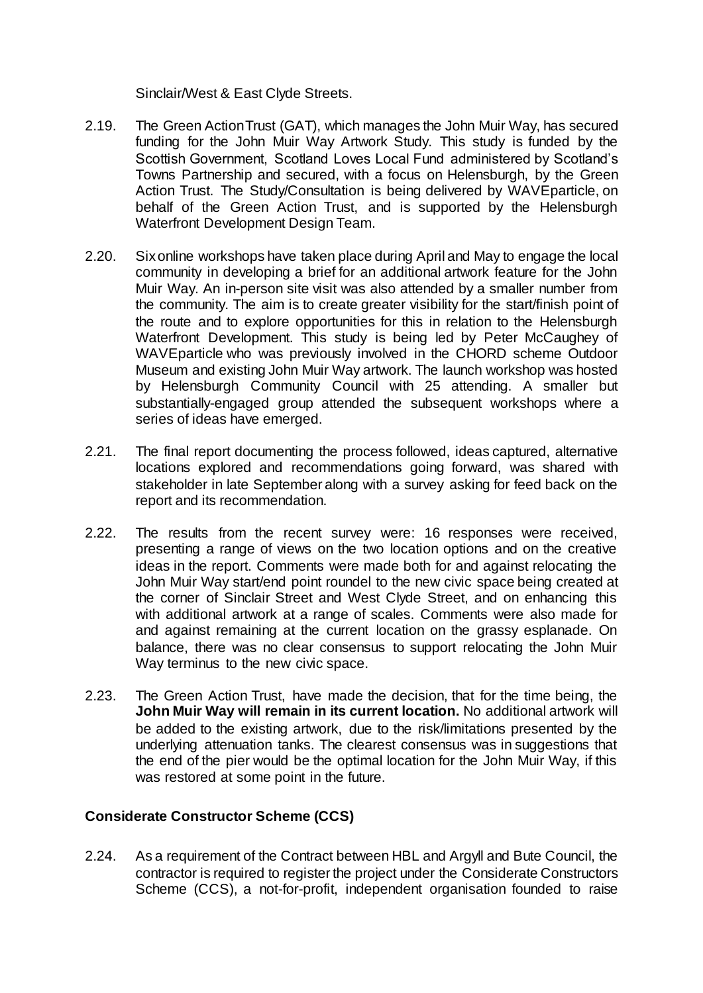Sinclair/West & East Clyde Streets.

- 2.19. The Green Action Trust (GAT), which manages the John Muir Way, has secured funding for the John Muir Way Artwork Study. This study is funded by the Scottish Government, Scotland Loves Local Fund administered by Scotland's Towns Partnership and secured, with a focus on Helensburgh, by the Green Action Trust. The Study/Consultation is being delivered by WAVEparticle, on behalf of the Green Action Trust, and is supported by the Helensburgh Waterfront Development Design Team.
- 2.20. Six online workshops have taken place during April and May to engage the local community in developing a brief for an additional artwork feature for the John Muir Way. An in-person site visit was also attended by a smaller number from the community. The aim is to create greater visibility for the start/finish point of the route and to explore opportunities for this in relation to the Helensburgh Waterfront Development. This study is being led by Peter McCaughey of WAVEparticle who was previously involved in the CHORD scheme Outdoor Museum and existing John Muir Way artwork. The launch workshop was hosted by Helensburgh Community Council with 25 attending. A smaller but substantially-engaged group attended the subsequent workshops where a series of ideas have emerged.
- 2.21. The final report documenting the process followed, ideas captured, alternative locations explored and recommendations going forward, was shared with stakeholder in late September along with a survey asking for feed back on the report and its recommendation.
- 2.22. The results from the recent survey were: 16 responses were received, presenting a range of views on the two location options and on the creative ideas in the report. Comments were made both for and against relocating the John Muir Way start/end point roundel to the new civic space being created at the corner of Sinclair Street and West Clyde Street, and on enhancing this with additional artwork at a range of scales. Comments were also made for and against remaining at the current location on the grassy esplanade. On balance, there was no clear consensus to support relocating the John Muir Way terminus to the new civic space.
- 2.23. The Green Action Trust, have made the decision, that for the time being, the **John Muir Way will remain in its current location.** No additional artwork will be added to the existing artwork, due to the risk/limitations presented by the underlying attenuation tanks. The clearest consensus was in suggestions that the end of the pier would be the optimal location for the John Muir Way, if this was restored at some point in the future.

# **Considerate Constructor Scheme (CCS)**

2.24. As a requirement of the Contract between HBL and Argyll and Bute Council, the contractor is required to register the project under the Considerate Constructors Scheme (CCS), a not-for-profit, independent organisation founded to raise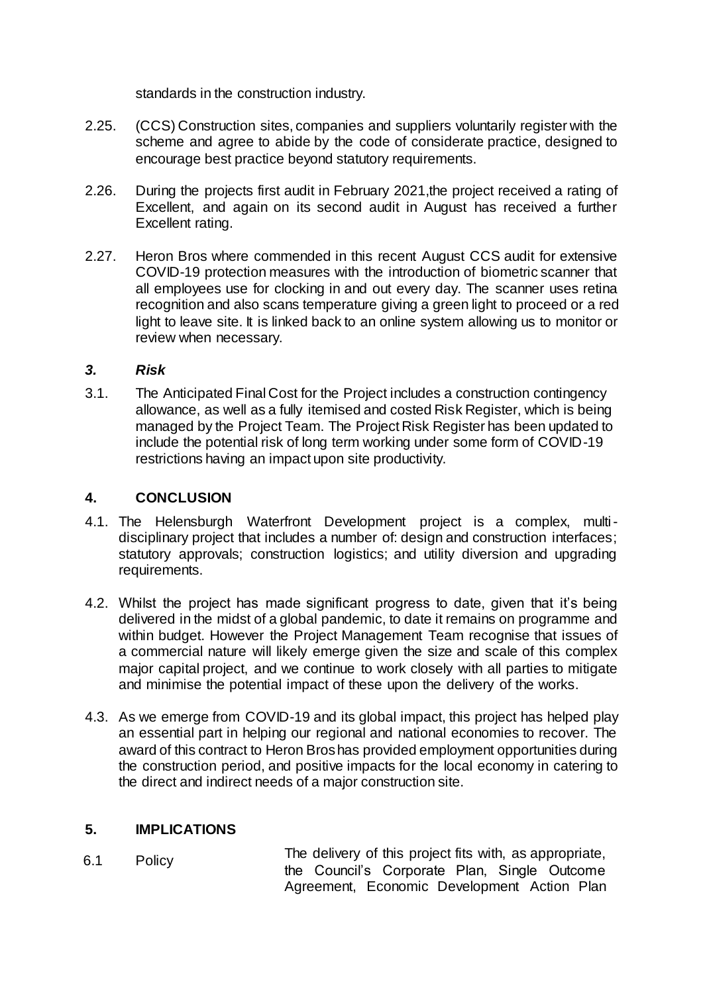standards in the construction industry.

- 2.25. (CCS) Construction sites, companies and suppliers voluntarily register with the scheme and agree to abide by the code of considerate practice, designed to encourage best practice beyond statutory requirements.
- 2.26. During the projects first audit in February 2021,the project received a rating of Excellent, and again on its second audit in August has received a further Excellent rating.
- 2.27. Heron Bros where commended in this recent August CCS audit for extensive COVID-19 protection measures with the introduction of biometric scanner that all employees use for clocking in and out every day. The scanner uses retina recognition and also scans temperature giving a green light to proceed or a red light to leave site. It is linked back to an online system allowing us to monitor or review when necessary.

# *3. Risk*

3.1. The Anticipated Final Cost for the Project includes a construction contingency allowance, as well as a fully itemised and costed Risk Register, which is being managed by the Project Team. The Project Risk Register has been updated to include the potential risk of long term working under some form of COVID-19 restrictions having an impact upon site productivity.

# **4. CONCLUSION**

- 4.1. The Helensburgh Waterfront Development project is a complex, multidisciplinary project that includes a number of: design and construction interfaces; statutory approvals; construction logistics; and utility diversion and upgrading requirements.
- 4.2. Whilst the project has made significant progress to date, given that it's being delivered in the midst of a global pandemic, to date it remains on programme and within budget. However the Project Management Team recognise that issues of a commercial nature will likely emerge given the size and scale of this complex major capital project, and we continue to work closely with all parties to mitigate and minimise the potential impact of these upon the delivery of the works.
- 4.3. As we emerge from COVID-19 and its global impact, this project has helped play an essential part in helping our regional and national economies to recover. The award of this contract to Heron Bros has provided employment opportunities during the construction period, and positive impacts for the local economy in catering to the direct and indirect needs of a major construction site.

### **5. IMPLICATIONS**

6.1 Policy The delivery of this project fits with, as appropriate, the Council's Corporate Plan, Single Outcome Agreement, Economic Development Action Plan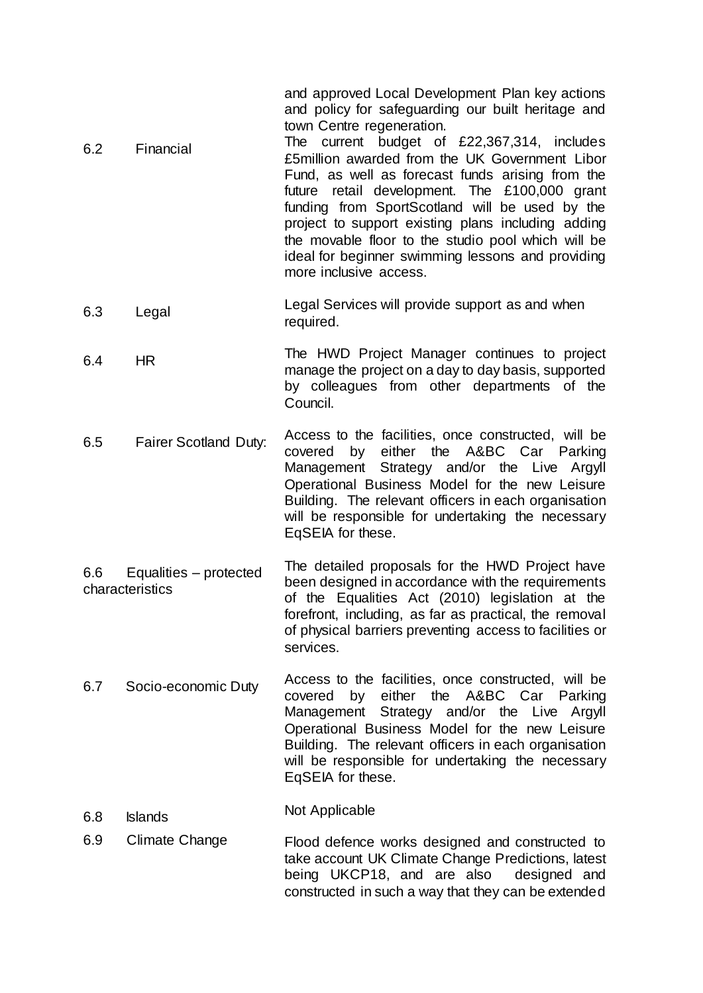and approved Local Development Plan key actions and policy for safeguarding our built heritage and town Centre regeneration.

- 6.2 Financial The current budget of £22,367,314, includes £5million awarded from the UK Government Libor Fund, as well as forecast funds arising from the future retail development. The £100,000 grant funding from SportScotland will be used by the project to support existing plans including adding the movable floor to the studio pool which will be ideal for beginner swimming lessons and providing more inclusive access.
- 6.3 Legal Legal Services will provide support as and when required.
- 6.4 HR The HWD Project Manager continues to project manage the project on a day to day basis, supported by colleagues from other departments of the Council.
- 6.5 Fairer Scotland Duty: Access to the facilities, once constructed, will be covered by either the A&BC Car Parking either the A&BC Car Management Strategy and/or the Live Argyll Operational Business Model for the new Leisure Building. The relevant officers in each organisation will be responsible for undertaking the necessary EqSEIA for these.
- 6.6 Equalities protected characteristics The detailed proposals for the HWD Project have been designed in accordance with the requirements of the Equalities Act (2010) legislation at the forefront, including, as far as practical, the removal of physical barriers preventing access to facilities or services.
- 6.7 Socio-economic Duty Access to the facilities, once constructed, will be covered by either the A&BC Car Parking Management Strategy and/or the Live Argyll Operational Business Model for the new Leisure Building. The relevant officers in each organisation will be responsible for undertaking the necessary EqSEIA for these.
- 6.8 Islands Not Applicable
- 6.9 Climate Change Flood defence works designed and constructed to take account UK Climate Change Predictions, latest being UKCP18, and are also designed and constructed in such a way that they can be extended